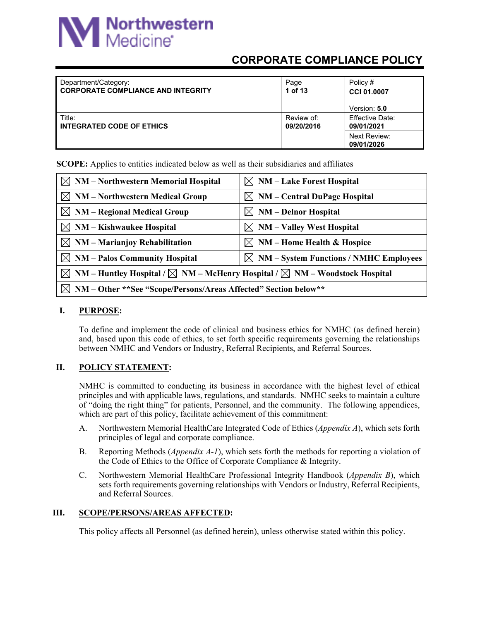# **M** Northwestern

## **CORPORATE COMPLIANCE POLICY**

| Department/Category:<br><b>I CORPORATE COMPLIANCE AND INTEGRITY</b> | Page<br>1 of 13          | Policy #<br>CCI 01.0007<br>Version: 5.0                     |
|---------------------------------------------------------------------|--------------------------|-------------------------------------------------------------|
| Title:<br>I INTEGRATED CODE OF ETHICS                               | Review of:<br>09/20/2016 | Effective Date:<br>09/01/2021<br>Next Review:<br>09/01/2026 |

**SCOPE:** Applies to entities indicated below as well as their subsidiaries and affiliates

| $\boxtimes$ NM – Northwestern Memorial Hospital                                                             | $\boxtimes$ NM – Lake Forest Hospital              |  |
|-------------------------------------------------------------------------------------------------------------|----------------------------------------------------|--|
| $\boxtimes$ NM – Northwestern Medical Group                                                                 | $\boxtimes$ NM – Central DuPage Hospital           |  |
| $\boxtimes$ NM – Regional Medical Group                                                                     | $\boxtimes$ NM – Delnor Hospital                   |  |
| $\boxtimes$ NM – Kishwaukee Hospital                                                                        | $\boxtimes$ NM – Valley West Hospital              |  |
| $\boxtimes$ NM – Marianjoy Rehabilitation                                                                   | $\boxtimes$ NM – Home Health & Hospice             |  |
| $\boxtimes$ NM – Palos Community Hospital                                                                   | $\boxtimes$ NM – System Functions / NMHC Employees |  |
| $\boxtimes$ NM – Huntley Hospital / $\boxtimes$ NM – McHenry Hospital / $\boxtimes$ NM – Woodstock Hospital |                                                    |  |
| $\boxtimes$ NM – Other **See "Scope/Persons/Areas Affected" Section below**                                 |                                                    |  |

#### **I. PURPOSE:**

To define and implement the code of clinical and business ethics for NMHC (as defined herein) and, based upon this code of ethics, to set forth specific requirements governing the relationships between NMHC and Vendors or Industry, Referral Recipients, and Referral Sources.

#### **II. POLICY STATEMENT:**

NMHC is committed to conducting its business in accordance with the highest level of ethical principles and with applicable laws, regulations, and standards. NMHC seeks to maintain a culture of "doing the right thing" for patients, Personnel, and the community. The following appendices, which are part of this policy, facilitate achievement of this commitment:

- A. Northwestern Memorial HealthCare Integrated Code of Ethics (*Appendix A*), which sets forth principles of legal and corporate compliance.
- B. Reporting Methods (*Appendix A-1*), which sets forth the methods for reporting a violation of the Code of Ethics to the Office of Corporate Compliance & Integrity.
- C. Northwestern Memorial HealthCare Professional Integrity Handbook (*Appendix B*), which sets forth requirements governing relationships with Vendors or Industry, Referral Recipients, and Referral Sources.

#### **III. SCOPE/PERSONS/AREAS AFFECTED:**

This policy affects all Personnel (as defined herein), unless otherwise stated within this policy.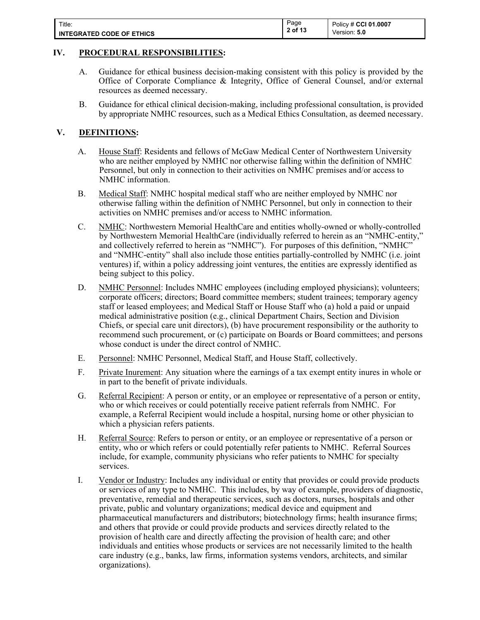| Title:                           | Page<br>2 of 13 | Policy # CCI 01.0007 |
|----------------------------------|-----------------|----------------------|
| <b>INTEGRATED CODE OF ETHICS</b> |                 | Version: 5.0         |

#### **IV. PROCEDURAL RESPONSIBILITIES:**

- A. Guidance for ethical business decision-making consistent with this policy is provided by the Office of Corporate Compliance & Integrity, Office of General Counsel, and/or external resources as deemed necessary.
- B. Guidance for ethical clinical decision-making, including professional consultation, is provided by appropriate NMHC resources, such as a Medical Ethics Consultation, as deemed necessary.

#### **V. DEFINITIONS:**

- A. House Staff: Residents and fellows of McGaw Medical Center of Northwestern University who are neither employed by NMHC nor otherwise falling within the definition of NMHC Personnel, but only in connection to their activities on NMHC premises and/or access to NMHC information.
- B. Medical Staff: NMHC hospital medical staff who are neither employed by NMHC nor otherwise falling within the definition of NMHC Personnel, but only in connection to their activities on NMHC premises and/or access to NMHC information.
- C. NMHC: Northwestern Memorial HealthCare and entities wholly-owned or wholly-controlled by Northwestern Memorial HealthCare (individually referred to herein as an "NMHC-entity," and collectively referred to herein as "NMHC"). For purposes of this definition, "NMHC" and "NMHC-entity" shall also include those entities partially-controlled by NMHC (i.e. joint ventures) if, within a policy addressing joint ventures, the entities are expressly identified as being subject to this policy.
- D. NMHC Personnel: Includes NMHC employees (including employed physicians); volunteers; corporate officers; directors; Board committee members; student trainees; temporary agency staff or leased employees; and Medical Staff or House Staff who (a) hold a paid or unpaid medical administrative position (e.g., clinical Department Chairs, Section and Division Chiefs, or special care unit directors), (b) have procurement responsibility or the authority to recommend such procurement, or (c) participate on Boards or Board committees; and persons whose conduct is under the direct control of NMHC.
- E. Personnel: NMHC Personnel, Medical Staff, and House Staff, collectively.
- F. Private Inurement: Any situation where the earnings of a tax exempt entity inures in whole or in part to the benefit of private individuals.
- G. Referral Recipient: A person or entity, or an employee or representative of a person or entity, who or which receives or could potentially receive patient referrals from NMHC. For example, a Referral Recipient would include a hospital, nursing home or other physician to which a physician refers patients.
- H. Referral Source: Refers to person or entity, or an employee or representative of a person or entity, who or which refers or could potentially refer patients to NMHC. Referral Sources include, for example, community physicians who refer patients to NMHC for specialty services.
- I. Vendor or Industry: Includes any individual or entity that provides or could provide products or services of any type to NMHC. This includes, by way of example, providers of diagnostic, preventative, remedial and therapeutic services, such as doctors, nurses, hospitals and other private, public and voluntary organizations; medical device and equipment and pharmaceutical manufacturers and distributors; biotechnology firms; health insurance firms; and others that provide or could provide products and services directly related to the provision of health care and directly affecting the provision of health care; and other individuals and entities whose products or services are not necessarily limited to the health care industry (e.g., banks, law firms, information systems vendors, architects, and similar organizations).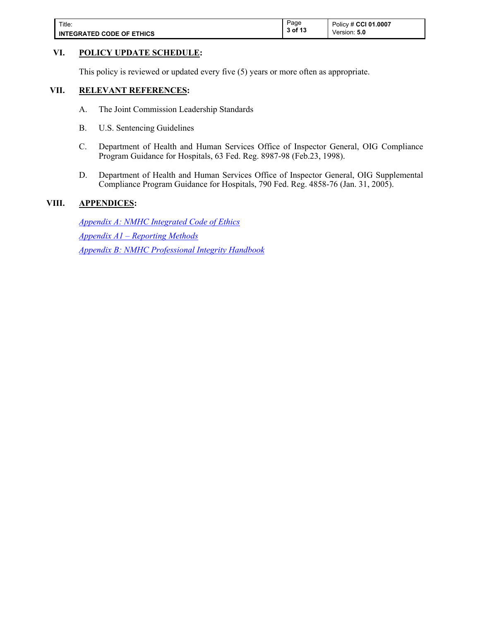| Title:                           | Page            | Policy # CCI 01.0007 |
|----------------------------------|-----------------|----------------------|
| <b>INTEGRATED CODE OF ETHICS</b> | 3 of 13<br>- 10 | Version: <b>5.0</b>  |

#### **VI. POLICY UPDATE SCHEDULE:**

This policy is reviewed or updated every five (5) years or more often as appropriate.

#### **VII. RELEVANT REFERENCES:**

- A. The Joint Commission Leadership Standards
- B. U.S. Sentencing Guidelines
- C. Department of Health and Human Services Office of Inspector General, OIG Compliance Program Guidance for Hospitals, 63 Fed. Reg. 8987-98 (Feb.23, 1998).
- D. Department of Health and Human Services Office of Inspector General, OIG Supplemental Compliance Program Guidance for Hospitals, 790 Fed. Reg. 4858-76 (Jan. 31, 2005).

#### **VIII. APPENDICES:**

*[Appendix A: NMHC Integrated Code of Ethics](#page-4-0) [Appendix A1 – Reporting Methods](#page-11-0)  [Appendix B: NMHC Professional Integrity Handbook](https://nm.ellucid.com/documents/view/4016/active/)*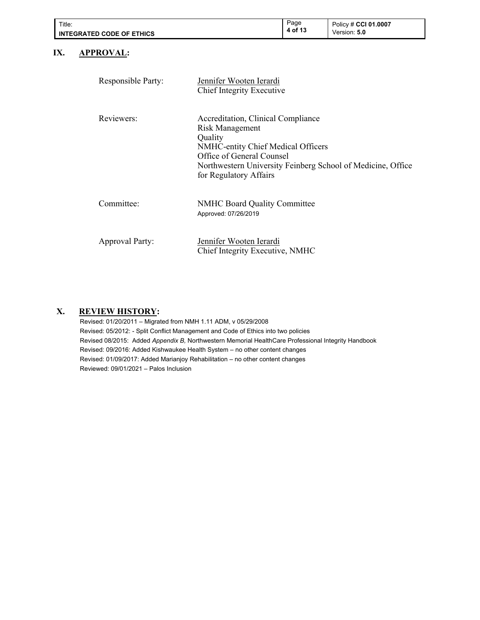| Title:<br><b>INTEGRATED CODE OF ETHICS</b> |                        |                                                                                                                                                               | Page<br>4 of 13 | Policy # CCI 01.0007<br>Version: 5.0                        |
|--------------------------------------------|------------------------|---------------------------------------------------------------------------------------------------------------------------------------------------------------|-----------------|-------------------------------------------------------------|
| IX.                                        | <b>APPROVAL:</b>       |                                                                                                                                                               |                 |                                                             |
|                                            | Responsible Party:     | Jennifer Wooten Ierardi<br><b>Chief Integrity Executive</b>                                                                                                   |                 |                                                             |
|                                            | Reviewers:             | Accreditation, Clinical Compliance<br>Risk Management<br>Quality<br>NMHC-entity Chief Medical Officers<br>Office of General Counsel<br>for Regulatory Affairs |                 | Northwestern University Feinberg School of Medicine, Office |
|                                            | Committee:             | <b>NMHC Board Quality Committee</b><br>Approved: 07/26/2019                                                                                                   |                 |                                                             |
|                                            | <b>Approval Party:</b> | Jennifer Wooten Ierardi<br>Chief Integrity Executive, NMHC                                                                                                    |                 |                                                             |

# Revised: 01/20/2011 – Migrated from NMH 1.11 ADM, v 05/29/2008

**X. REVIEW HISTORY:**

Revised: 05/2012: - Split Conflict Management and Code of Ethics into two policies Revised 08/2015: Added *Appendix B,* Northwestern Memorial HealthCare Professional Integrity Handbook Revised: 09/2016: Added Kishwaukee Health System – no other content changes Revised: 01/09/2017: Added Marianjoy Rehabilitation – no other content changes Reviewed: 09/01/2021 – Palos Inclusion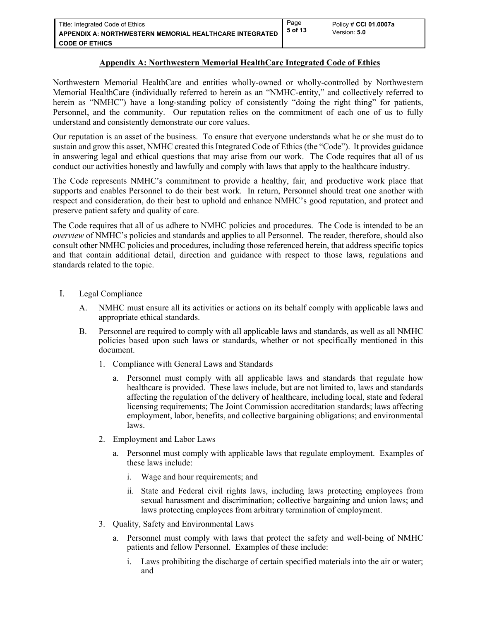#### <span id="page-4-0"></span>**Appendix A: Northwestern Memorial HealthCare Integrated Code of Ethics**

Page **5 of 13**

Northwestern Memorial HealthCare and entities wholly-owned or wholly-controlled by Northwestern Memorial HealthCare (individually referred to herein as an "NMHC-entity," and collectively referred to herein as "NMHC") have a long-standing policy of consistently "doing the right thing" for patients, Personnel, and the community. Our reputation relies on the commitment of each one of us to fully understand and consistently demonstrate our core values.

Our reputation is an asset of the business. To ensure that everyone understands what he or she must do to sustain and grow this asset, NMHC created this Integrated Code of Ethics (the "Code"). It provides guidance in answering legal and ethical questions that may arise from our work. The Code requires that all of us conduct our activities honestly and lawfully and comply with laws that apply to the healthcare industry.

The Code represents NMHC's commitment to provide a healthy, fair, and productive work place that supports and enables Personnel to do their best work. In return, Personnel should treat one another with respect and consideration, do their best to uphold and enhance NMHC's good reputation, and protect and preserve patient safety and quality of care.

The Code requires that all of us adhere to NMHC policies and procedures. The Code is intended to be an *overview* of NMHC's policies and standards and applies to all Personnel. The reader, therefore, should also consult other NMHC policies and procedures, including those referenced herein, that address specific topics and that contain additional detail, direction and guidance with respect to those laws, regulations and standards related to the topic.

- I. Legal Compliance
	- A. NMHC must ensure all its activities or actions on its behalf comply with applicable laws and appropriate ethical standards.
	- B. Personnel are required to comply with all applicable laws and standards, as well as all NMHC policies based upon such laws or standards, whether or not specifically mentioned in this document.
		- 1. Compliance with General Laws and Standards
			- a. Personnel must comply with all applicable laws and standards that regulate how healthcare is provided. These laws include, but are not limited to, laws and standards affecting the regulation of the delivery of healthcare, including local, state and federal licensing requirements; The Joint Commission accreditation standards; laws affecting employment, labor, benefits, and collective bargaining obligations; and environmental laws.
		- 2. Employment and Labor Laws
			- a. Personnel must comply with applicable laws that regulate employment. Examples of these laws include:
				- i. Wage and hour requirements; and
				- ii. State and Federal civil rights laws, including laws protecting employees from sexual harassment and discrimination; collective bargaining and union laws; and laws protecting employees from arbitrary termination of employment.
		- 3. Quality, Safety and Environmental Laws
			- a. Personnel must comply with laws that protect the safety and well-being of NMHC patients and fellow Personnel. Examples of these include:
				- i. Laws prohibiting the discharge of certain specified materials into the air or water; and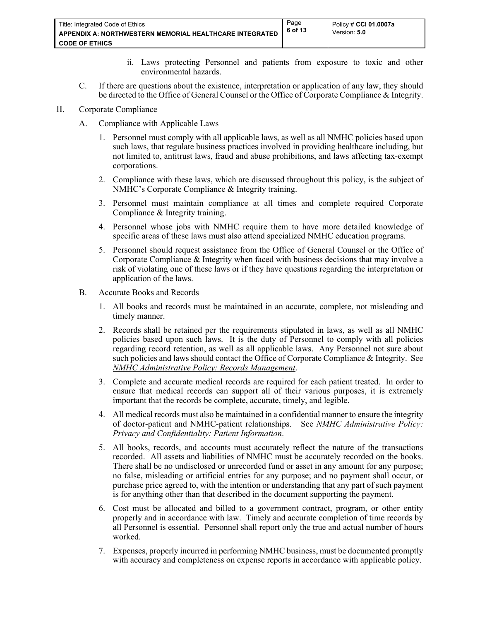- ii. Laws protecting Personnel and patients from exposure to toxic and other environmental hazards.
- C. If there are questions about the existence, interpretation or application of any law, they should be directed to the Office of General Counsel or the Office of Corporate Compliance & Integrity.

#### II. Corporate Compliance

- A. Compliance with Applicable Laws
	- 1. Personnel must comply with all applicable laws, as well as all NMHC policies based upon such laws, that regulate business practices involved in providing healthcare including, but not limited to, antitrust laws, fraud and abuse prohibitions, and laws affecting tax-exempt corporations.
	- 2. Compliance with these laws, which are discussed throughout this policy, is the subject of NMHC's Corporate Compliance & Integrity training.
	- 3. Personnel must maintain compliance at all times and complete required Corporate Compliance & Integrity training.
	- 4. Personnel whose jobs with NMHC require them to have more detailed knowledge of specific areas of these laws must also attend specialized NMHC education programs.
	- 5. Personnel should request assistance from the Office of General Counsel or the Office of Corporate Compliance & Integrity when faced with business decisions that may involve a risk of violating one of these laws or if they have questions regarding the interpretation or application of the laws.
- B. Accurate Books and Records
	- 1. All books and records must be maintained in an accurate, complete, not misleading and timely manner.
	- 2. Records shall be retained per the requirements stipulated in laws, as well as all NMHC policies based upon such laws. It is the duty of Personnel to comply with all policies regarding record retention, as well as all applicable laws. Any Personnel not sure about such policies and laws should contact the Office of Corporate Compliance & Integrity. See *NMHC Administrative Policy: Records Management*.
	- 3. Complete and accurate medical records are required for each patient treated. In order to ensure that medical records can support all of their various purposes, it is extremely important that the records be complete, accurate, timely, and legible.
	- 4. All medical records must also be maintained in a confidential manner to ensure the integrity of doctor-patient and NMHC-patient relationships. See *NMHC Administrative Policy: Privacy and Confidentiality: Patient Information*.
	- 5. All books, records, and accounts must accurately reflect the nature of the transactions recorded. All assets and liabilities of NMHC must be accurately recorded on the books. There shall be no undisclosed or unrecorded fund or asset in any amount for any purpose; no false, misleading or artificial entries for any purpose; and no payment shall occur, or purchase price agreed to, with the intention or understanding that any part of such payment is for anything other than that described in the document supporting the payment.
	- 6. Cost must be allocated and billed to a government contract, program, or other entity properly and in accordance with law. Timely and accurate completion of time records by all Personnel is essential. Personnel shall report only the true and actual number of hours worked.
	- 7. Expenses, properly incurred in performing NMHC business, must be documented promptly with accuracy and completeness on expense reports in accordance with applicable policy.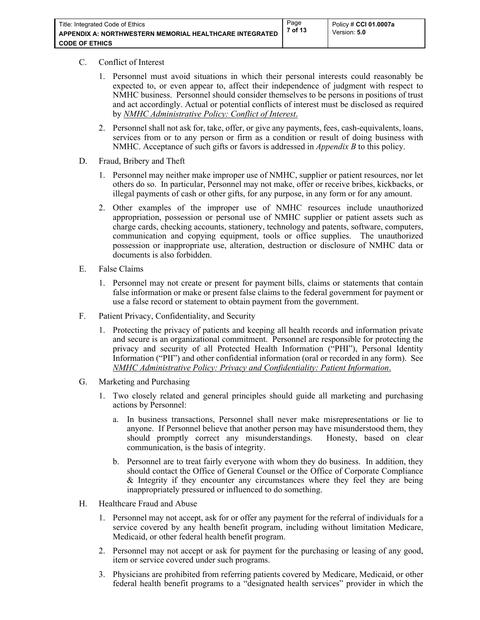#### C. Conflict of Interest

- 1. Personnel must avoid situations in which their personal interests could reasonably be expected to, or even appear to, affect their independence of judgment with respect to NMHC business. Personnel should consider themselves to be persons in positions of trust and act accordingly. Actual or potential conflicts of interest must be disclosed as required by *NMHC Administrative Policy: Conflict of Interest*.
- 2. Personnel shall not ask for, take, offer, or give any payments, fees, cash-equivalents, loans, services from or to any person or firm as a condition or result of doing business with NMHC. Acceptance of such gifts or favors is addressed in *Appendix B* to this policy.
- D. Fraud, Bribery and Theft
	- 1. Personnel may neither make improper use of NMHC, supplier or patient resources, nor let others do so. In particular, Personnel may not make, offer or receive bribes, kickbacks, or illegal payments of cash or other gifts, for any purpose, in any form or for any amount.
	- 2. Other examples of the improper use of NMHC resources include unauthorized appropriation, possession or personal use of NMHC supplier or patient assets such as charge cards, checking accounts, stationery, technology and patents, software, computers, communication and copying equipment, tools or office supplies. The unauthorized possession or inappropriate use, alteration, destruction or disclosure of NMHC data or documents is also forbidden.
- E. False Claims
	- 1. Personnel may not create or present for payment bills, claims or statements that contain false information or make or present false claims to the federal government for payment or use a false record or statement to obtain payment from the government.
- F. Patient Privacy, Confidentiality, and Security
	- 1. Protecting the privacy of patients and keeping all health records and information private and secure is an organizational commitment. Personnel are responsible for protecting the privacy and security of all Protected Health Information ("PHI"), Personal Identity Information ("PII") and other confidential information (oral or recorded in any form). See *NMHC Administrative Policy: Privacy and Confidentiality: Patient Information*.
- G. Marketing and Purchasing
	- 1. Two closely related and general principles should guide all marketing and purchasing actions by Personnel:
		- a. In business transactions, Personnel shall never make misrepresentations or lie to anyone. If Personnel believe that another person may have misunderstood them, they should promptly correct any misunderstandings. Honesty, based on clear communication, is the basis of integrity.
		- b. Personnel are to treat fairly everyone with whom they do business. In addition, they should contact the Office of General Counsel or the Office of Corporate Compliance & Integrity if they encounter any circumstances where they feel they are being inappropriately pressured or influenced to do something.
- H. Healthcare Fraud and Abuse
	- 1. Personnel may not accept, ask for or offer any payment for the referral of individuals for a service covered by any health benefit program, including without limitation Medicare, Medicaid, or other federal health benefit program.
	- 2. Personnel may not accept or ask for payment for the purchasing or leasing of any good, item or service covered under such programs.
	- 3. Physicians are prohibited from referring patients covered by Medicare, Medicaid, or other federal health benefit programs to a "designated health services" provider in which the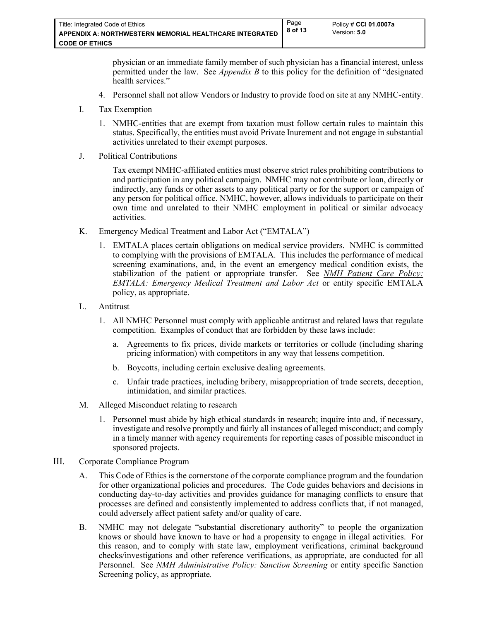physician or an immediate family member of such physician has a financial interest, unless permitted under the law. See *Appendix B* to this policy for the definition of "designated health services."

Page **8 of 13**

- 4. Personnel shall not allow Vendors or Industry to provide food on site at any NMHC-entity.
- I. Tax Exemption
	- 1. NMHC-entities that are exempt from taxation must follow certain rules to maintain this status. Specifically, the entities must avoid Private Inurement and not engage in substantial activities unrelated to their exempt purposes.
- J. Political Contributions

Tax exempt NMHC-affiliated entities must observe strict rules prohibiting contributions to and participation in any political campaign. NMHC may not contribute or loan, directly or indirectly, any funds or other assets to any political party or for the support or campaign of any person for political office. NMHC, however, allows individuals to participate on their own time and unrelated to their NMHC employment in political or similar advocacy activities.

- K. Emergency Medical Treatment and Labor Act ("EMTALA")
	- 1. EMTALA places certain obligations on medical service providers. NMHC is committed to complying with the provisions of EMTALA. This includes the performance of medical screening examinations, and, in the event an emergency medical condition exists, the stabilization of the patient or appropriate transfer. See *NMH Patient Care Policy: EMTALA: Emergency Medical Treatment and Labor Act* or entity specific EMTALA policy, as appropriate.
- L. Antitrust
	- 1. All NMHC Personnel must comply with applicable antitrust and related laws that regulate competition. Examples of conduct that are forbidden by these laws include:
		- a. Agreements to fix prices, divide markets or territories or collude (including sharing pricing information) with competitors in any way that lessens competition.
		- b. Boycotts, including certain exclusive dealing agreements.
		- c. Unfair trade practices, including bribery, misappropriation of trade secrets, deception, intimidation, and similar practices.
- M. Alleged Misconduct relating to research
	- 1. Personnel must abide by high ethical standards in research; inquire into and, if necessary, investigate and resolve promptly and fairly all instances of alleged misconduct; and comply in a timely manner with agency requirements for reporting cases of possible misconduct in sponsored projects.
- III. Corporate Compliance Program
	- A. This Code of Ethics is the cornerstone of the corporate compliance program and the foundation for other organizational policies and procedures. The Code guides behaviors and decisions in conducting day-to-day activities and provides guidance for managing conflicts to ensure that processes are defined and consistently implemented to address conflicts that, if not managed, could adversely affect patient safety and/or quality of care.
	- B. NMHC may not delegate "substantial discretionary authority" to people the organization knows or should have known to have or had a propensity to engage in illegal activities. For this reason, and to comply with state law, employment verifications, criminal background checks/investigations and other reference verifications, as appropriate, are conducted for all Personnel. See *NMH Administrative Policy: Sanction Screening* or entity specific Sanction Screening policy, as appropriate*.*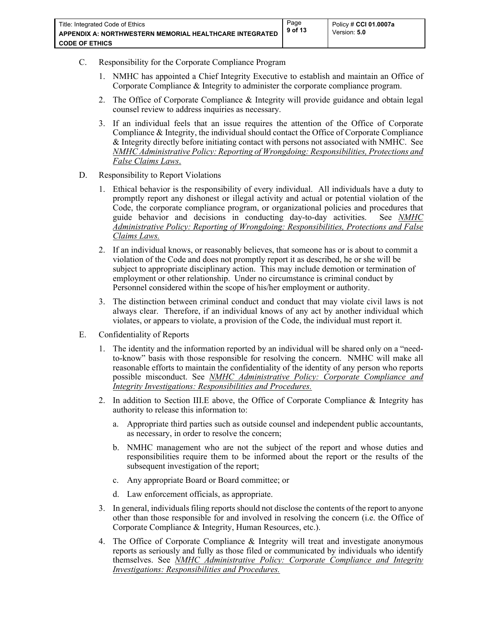- C. Responsibility for the Corporate Compliance Program
	- 1. NMHC has appointed a Chief Integrity Executive to establish and maintain an Office of Corporate Compliance & Integrity to administer the corporate compliance program.
	- 2. The Office of Corporate Compliance & Integrity will provide guidance and obtain legal counsel review to address inquiries as necessary.
	- 3. If an individual feels that an issue requires the attention of the Office of Corporate Compliance & Integrity, the individual should contact the Office of Corporate Compliance & Integrity directly before initiating contact with persons not associated with NMHC. See *NMHC Administrative Policy: Reporting of Wrongdoing: Responsibilities, Protections and False Claims Laws*.
- D. Responsibility to Report Violations
	- 1. Ethical behavior is the responsibility of every individual. All individuals have a duty to promptly report any dishonest or illegal activity and actual or potential violation of the Code, the corporate compliance program, or organizational policies and procedures that guide behavior and decisions in conducting day-to-day activities. See *NMHC Administrative Policy: Reporting of Wrongdoing: Responsibilities, Protections and False Claims Laws.*
	- 2. If an individual knows, or reasonably believes, that someone has or is about to commit a violation of the Code and does not promptly report it as described, he or she will be subject to appropriate disciplinary action. This may include demotion or termination of employment or other relationship. Under no circumstance is criminal conduct by Personnel considered within the scope of his/her employment or authority.
	- 3. The distinction between criminal conduct and conduct that may violate civil laws is not always clear. Therefore, if an individual knows of any act by another individual which violates, or appears to violate, a provision of the Code, the individual must report it.
- E. Confidentiality of Reports
	- 1. The identity and the information reported by an individual will be shared only on a "needto-know" basis with those responsible for resolving the concern. NMHC will make all reasonable efforts to maintain the confidentiality of the identity of any person who reports possible misconduct. See *NMHC Administrative Policy: Corporate Compliance and Integrity Investigations: Responsibilities and Procedures.*
	- 2. In addition to Section III.E above, the Office of Corporate Compliance & Integrity has authority to release this information to:
		- a. Appropriate third parties such as outside counsel and independent public accountants, as necessary, in order to resolve the concern;
		- b. NMHC management who are not the subject of the report and whose duties and responsibilities require them to be informed about the report or the results of the subsequent investigation of the report;
		- c. Any appropriate Board or Board committee; or
		- d. Law enforcement officials, as appropriate.
	- 3. In general, individuals filing reports should not disclose the contents of the report to anyone other than those responsible for and involved in resolving the concern (i.e. the Office of Corporate Compliance & Integrity, Human Resources, etc.).
	- 4. The Office of Corporate Compliance & Integrity will treat and investigate anonymous reports as seriously and fully as those filed or communicated by individuals who identify themselves. See *NMHC Administrative Policy: Corporate Compliance and Integrity Investigations: Responsibilities and Procedures.*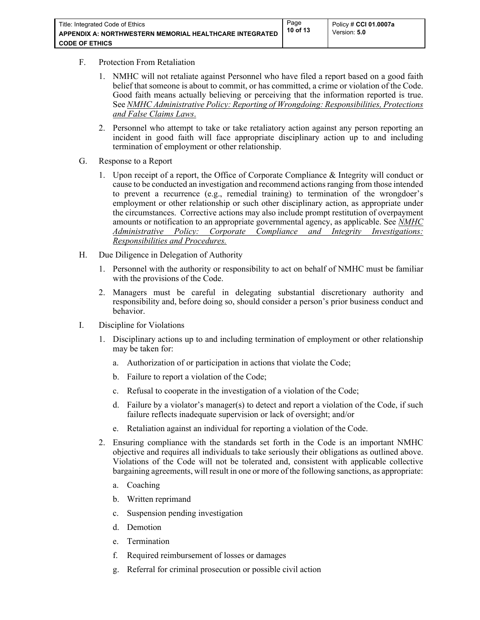- F. Protection From Retaliation
	- 1. NMHC will not retaliate against Personnel who have filed a report based on a good faith belief that someone is about to commit, or has committed, a crime or violation of the Code. Good faith means actually believing or perceiving that the information reported is true. See *NMHC Administrative Policy: Reporting of Wrongdoing: Responsibilities, Protections and False Claims Laws*.
	- 2. Personnel who attempt to take or take retaliatory action against any person reporting an incident in good faith will face appropriate disciplinary action up to and including termination of employment or other relationship.
- G. Response to a Report
	- 1. Upon receipt of a report, the Office of Corporate Compliance & Integrity will conduct or cause to be conducted an investigation and recommend actions ranging from those intended to prevent a recurrence (e.g., remedial training) to termination of the wrongdoer's employment or other relationship or such other disciplinary action, as appropriate under the circumstances. Corrective actions may also include prompt restitution of overpayment amounts or notification to an appropriate governmental agency, as applicable. See *NMHC Administrative Policy: Corporate Compliance and Integrity Investigations: Responsibilities and Procedures.*
- H. Due Diligence in Delegation of Authority
	- 1. Personnel with the authority or responsibility to act on behalf of NMHC must be familiar with the provisions of the Code.
	- 2. Managers must be careful in delegating substantial discretionary authority and responsibility and, before doing so, should consider a person's prior business conduct and behavior.
- I. Discipline for Violations
	- 1. Disciplinary actions up to and including termination of employment or other relationship may be taken for:
		- a. Authorization of or participation in actions that violate the Code;
		- b. Failure to report a violation of the Code;
		- c. Refusal to cooperate in the investigation of a violation of the Code;
		- d. Failure by a violator's manager(s) to detect and report a violation of the Code, if such failure reflects inadequate supervision or lack of oversight; and/or
		- Retaliation against an individual for reporting a violation of the Code.
	- 2. Ensuring compliance with the standards set forth in the Code is an important NMHC objective and requires all individuals to take seriously their obligations as outlined above. Violations of the Code will not be tolerated and, consistent with applicable collective bargaining agreements, will result in one or more of the following sanctions, as appropriate:
		- a. Coaching
		- b. Written reprimand
		- c. Suspension pending investigation
		- d. Demotion
		- e. Termination
		- f. Required reimbursement of losses or damages
		- g. Referral for criminal prosecution or possible civil action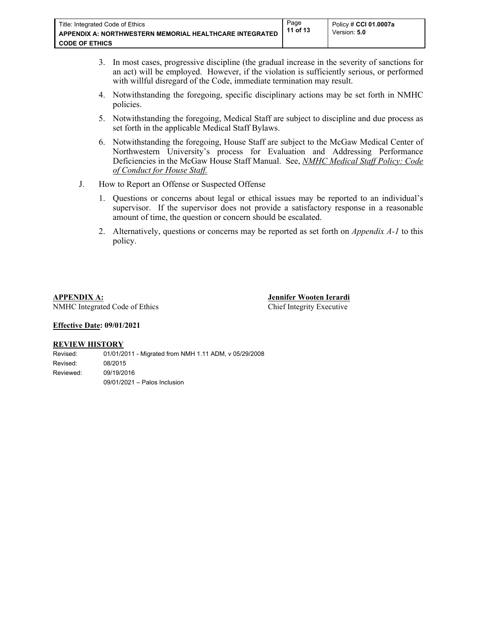- 3. In most cases, progressive discipline (the gradual increase in the severity of sanctions for an act) will be employed. However, if the violation is sufficiently serious, or performed with willful disregard of the Code, immediate termination may result.
- 4. Notwithstanding the foregoing, specific disciplinary actions may be set forth in NMHC policies.
- 5. Notwithstanding the foregoing, Medical Staff are subject to discipline and due process as set forth in the applicable Medical Staff Bylaws.
- 6. Notwithstanding the foregoing, House Staff are subject to the McGaw Medical Center of Northwestern University's process for Evaluation and Addressing Performance Deficiencies in the McGaw House Staff Manual. See, *NMHC Medical Staff Policy: Code of Conduct for House Staff.*
- J. How to Report an Offense or Suspected Offense
	- 1. Questions or concerns about legal or ethical issues may be reported to an individual's supervisor. If the supervisor does not provide a satisfactory response in a reasonable amount of time, the question or concern should be escalated.
	- 2. Alternatively, questions or concerns may be reported as set forth on *Appendix A-1* to this policy.

**APPENDIX A: Jennifer Wooten Ierardi**  NMHC Integrated Code of Ethics Chief Integrity Executive

#### **Effective Date: 09/01/2021**

#### **REVIEW HISTORY**

Revised: 01/01/2011 - Migrated from NMH 1.11 ADM, v 05/29/2008 Revised: 08/2015 Reviewed: 09/19/2016 09/01/2021 – Palos Inclusion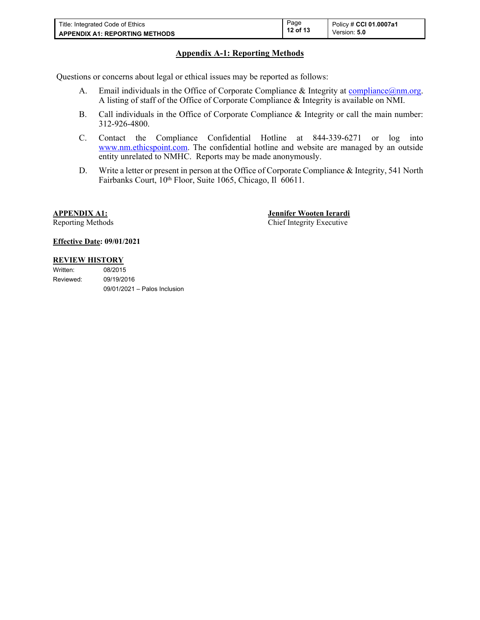| Title: Integrated Code of Ethics      | Page<br>12 of 13 | Policy # CCI 01.0007a1 |
|---------------------------------------|------------------|------------------------|
| <b>APPENDIX A1: REPORTING METHODS</b> |                  | Version: 5.0           |

#### <span id="page-11-0"></span>**Appendix A-1: Reporting Methods**

Questions or concerns about legal or ethical issues may be reported as follows:

- A. Email individuals in the Office of Corporate Compliance & Integrity at [compliance@nm.org](mailto:compliance@nm.org). A listing of staff of the Office of Corporate Compliance & Integrity is available on NMI.
- B. Call individuals in the Office of Corporate Compliance & Integrity or call the main number: 312-926-4800.
- C. Contact the Compliance Confidential Hotline at 844-339-6271 or log into [www.nm.ethicspoint.com](http://www.nm.ethicspoint.com/). The confidential hotline and website are managed by an outside entity unrelated to NMHC. Reports may be made anonymously.
- D. Write a letter or present in person at the Office of Corporate Compliance & Integrity, 541 North Fairbanks Court, 10<sup>th</sup> Floor, Suite 1065, Chicago, Il 60611.

**APPENDIX A1: Jennifer Wooten Ierardi**  Reporting Methods **Chief Integrity Executive** 

#### **Effective Date: 09/01/2021**

#### **REVIEW HISTORY**

| Written:  | 08/2015                        |
|-----------|--------------------------------|
| Reviewed: | 09/19/2016                     |
|           | $09/01/2021 -$ Palos Inclusion |